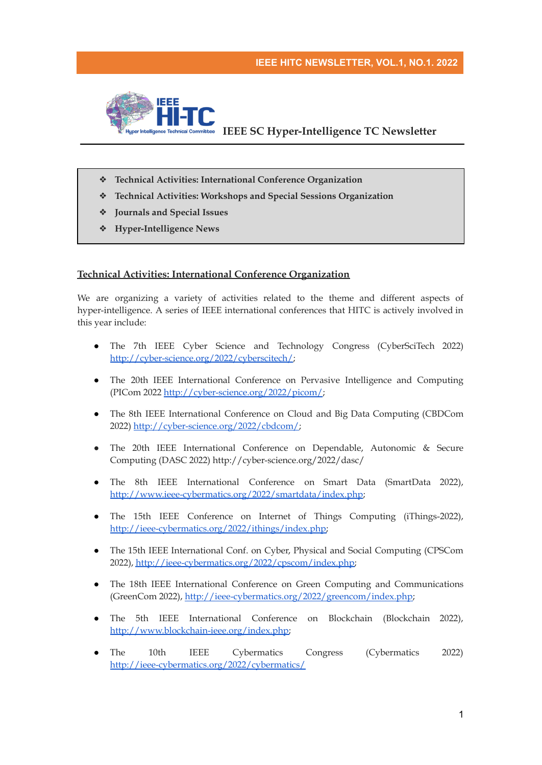

- ❖ **Technical Activities: International Conference Organization**
- ❖ **Technical Activities: Workshops and Special Sessions Organization**
- ❖ **Journals and Special Issues**
- ❖ **Hyper-Intelligence News**

# **Technical Activities: International Conference Organization**

We are organizing a variety of activities related to the theme and different aspects of hyper-intelligence. A series of IEEE international conferences that HITC is actively involved in this year include:

- The 7th IEEE Cyber Science and Technology Congress (CyberSciTech 2022) <http://cyber-science.org/2022/cyberscitech/>;
- The 20th IEEE International Conference on Pervasive Intelligence and Computing (PICom 2022 <http://cyber-science.org/2022/picom/>;
- The 8th IEEE International Conference on Cloud and Big Data Computing (CBDCom 2022) [http://cyber-science.org/2022/cbdcom/;](http://cyber-science.org/2022/cbdcom/)
- The 20th IEEE International Conference on Dependable, Autonomic & Secure Computing (DASC 2022) http://cyber-science.org/2022/dasc/
- The 8th IEEE International Conference on Smart Data (SmartData 2022), <http://www.ieee-cybermatics.org/2022/smartdata/index.php>;
- The 15th IEEE Conference on Internet of Things Computing (iThings-2022), [http://ieee-cybermatics.org/2022/ithings/index.php;](http://ieee-cybermatics.org/2022/ithings/index.php)
- The 15th IEEE International Conf. on Cyber, Physical and Social Computing (CPSCom 2022), [http://ieee-cybermatics.org/2022/cpscom/index.php;](http://ieee-cybermatics.org/2022/cpscom/index.php)
- The 18th IEEE International Conference on Green Computing and Communications (GreenCom 2022), [http://ieee-cybermatics.org/2022/greencom/index.php;](http://ieee-cybermatics.org/2022/greencom/index.php)
- The 5th IEEE International Conference on Blockchain (Blockchain 2022), [http://www.blockchain-ieee.org/index.php;](http://www.blockchain-ieee.org/index.php)
- The 10th IEEE Cybermatics Congress (Cybermatics 2022) <http://ieee-cybermatics.org/2022/cybermatics/>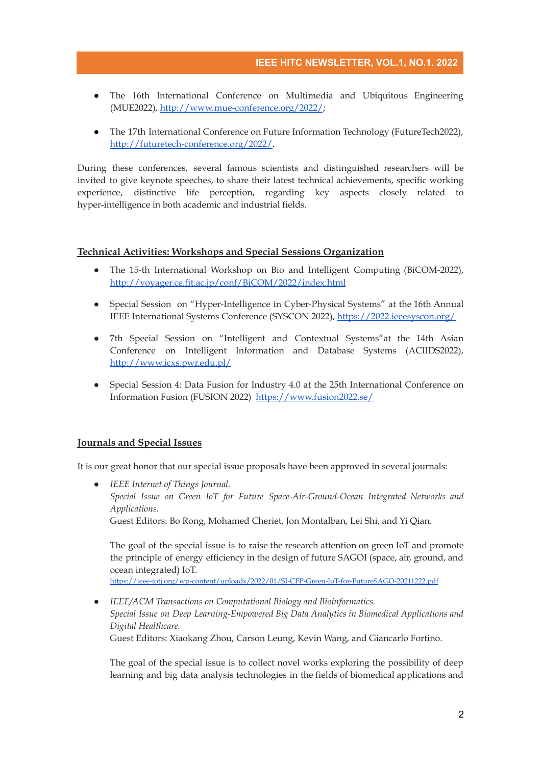- The 16th International Conference on Multimedia and Ubiquitous Engineering (MUE2022), <http://www.mue-conference.org/2022/>;
- The 17th International Conference on Future Information Technology (FutureTech2022), [http://futuretech-conference.org/2022/.](http://futuretech-conference.org/2022/)

During these conferences, several famous scientists and distinguished researchers will be invited to give keynote speeches, to share their latest technical achievements, specific working experience, distinctive life perception, regarding key aspects closely related to hyper-intelligence in both academic and industrial fields.

## **Technical Activities: Workshops and Special Sessions Organization**

- The 15-th International Workshop on Bio and Intelligent Computing (BiCOM-2022), <http://voyager.ce.fit.ac.jp/conf/BiCOM/2022/index.html>
- Special Session on "Hyper-Intelligence in Cyber-Physical Systems" at the 16th Annual IEEE International Systems Conference (SYSCON 2022), <https://2022.ieeesyscon.org/>
- 7th Special Session on "Intelligent and Contextual Systems"at the 14th Asian Conference on Intelligent Information and Database Systems (ACIIDS2022), <http://www.icxs.pwr.edu.pl/>
- Special Session 4: Data Fusion for Industry 4.0 at the 25th International Conference on Information Fusion (FUSION 2022) <https://www.fusion2022.se/>

### **Journals and Special Issues**

It is our great honor that our special issue proposals have been approved in several journals:

● *IEEE Internet of Things Journal. Special Issue on Green IoT for Future Space-Air-Ground-Ocean Integrated Networks and Applications.* Guest Editors: Bo Rong, Mohamed Cheriet, Jon Montalban, Lei Shi, and Yi Qian.

The goal of the special issue is to raise the research attention on green IoT and promote the principle of energy efficiency in the design of future SAGOI (space, air, ground, and ocean integrated) IoT. <https://ieee-iotj.org/wp-content/uploads/2022/01/SI-CFP-Green-IoT-for-FutureSAGO-20211222.pdf>

● *IEEE/ACM Transactions on Computational Biology and Bioinformatics. Special Issue on Deep Learning-Empowered Big Data Analytics in Biomedical Applications and Digital Healthcare.*

Guest Editors: Xiaokang Zhou, Carson Leung, Kevin Wang, and Giancarlo Fortino.

The goal of the special issue is to collect novel works exploring the possibility of deep learning and big data analysis technologies in the fields of biomedical applications and